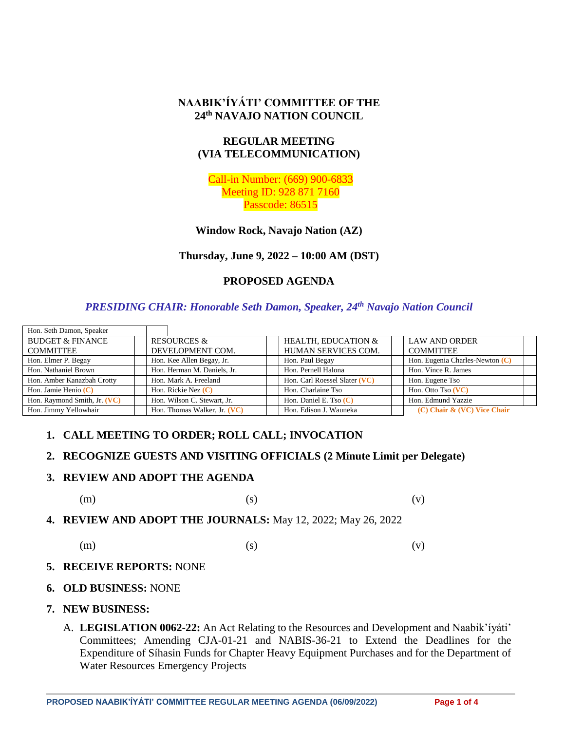## **NAABIK'ÍYÁTI' COMMITTEE OF THE 24th NAVAJO NATION COUNCIL**

# **REGULAR MEETING (VIA TELECOMMUNICATION)**

Call-in Number: (669) 900-6833 Meeting ID: 928 871 7160 Passcode: 86515

**Window Rock, Navajo Nation (AZ)**

**Thursday, June 9, 2022 – 10:00 AM (DST)**

# **PROPOSED AGENDA**

## *PRESIDING CHAIR: Honorable Seth Damon, Speaker, 24th Navajo Nation Council*

| Hon. Seth Damon, Speaker     |                              |                                |                                   |
|------------------------------|------------------------------|--------------------------------|-----------------------------------|
| <b>BUDGET &amp; FINANCE</b>  | <b>RESOURCES &amp;</b>       | <b>HEALTH. EDUCATION &amp;</b> | <b>LAW AND ORDER</b>              |
| <b>COMMITTEE</b>             | DEVELOPMENT COM.             | HUMAN SERVICES COM.            | <b>COMMITTEE</b>                  |
| Hon. Elmer P. Begay          | Hon. Kee Allen Begay, Jr.    | Hon. Paul Begay                | Hon. Eugenia Charles-Newton $(C)$ |
| Hon. Nathaniel Brown         | Hon. Herman M. Daniels, Jr.  | Hon. Pernell Halona            | Hon. Vince R. James               |
| Hon. Amber Kanazbah Crotty   | Hon. Mark A. Freeland        | Hon. Carl Roessel Slater (VC)  | Hon. Eugene Tso                   |
| Hon. Jamie Henio $(C)$       | Hon. Rickie Nez $(C)$        | Hon. Charlaine Tso             | Hon. Otto Tso (VC)                |
| Hon. Raymond Smith, Jr. (VC) | Hon. Wilson C. Stewart, Jr.  | Hon. Daniel E. Tso $(C)$       | Hon. Edmund Yazzie                |
| Hon. Jimmy Yellowhair        | Hon. Thomas Walker, Jr. (VC) | Hon. Edison J. Wauneka         | $(C)$ Chair & $(VC)$ Vice Chair   |

## **1. CALL MEETING TO ORDER; ROLL CALL; INVOCATION**

## **2. RECOGNIZE GUESTS AND VISITING OFFICIALS (2 Minute Limit per Delegate)**

## **3. REVIEW AND ADOPT THE AGENDA**

```
(m) (s) (s)
```
**4. REVIEW AND ADOPT THE JOURNALS:** May 12, 2022; May 26, 2022

(m) (s) (v)

### **5. RECEIVE REPORTS:** NONE

- **6. OLD BUSINESS:** NONE
- **7. NEW BUSINESS:**
	- A. **LEGISLATION 0062-22:** An Act Relating to the Resources and Development and Naabik'íyáti' Committees; Amending CJA-01-21 and NABIS-36-21 to Extend the Deadlines for the Expenditure of Síhasin Funds for Chapter Heavy Equipment Purchases and for the Department of Water Resources Emergency Projects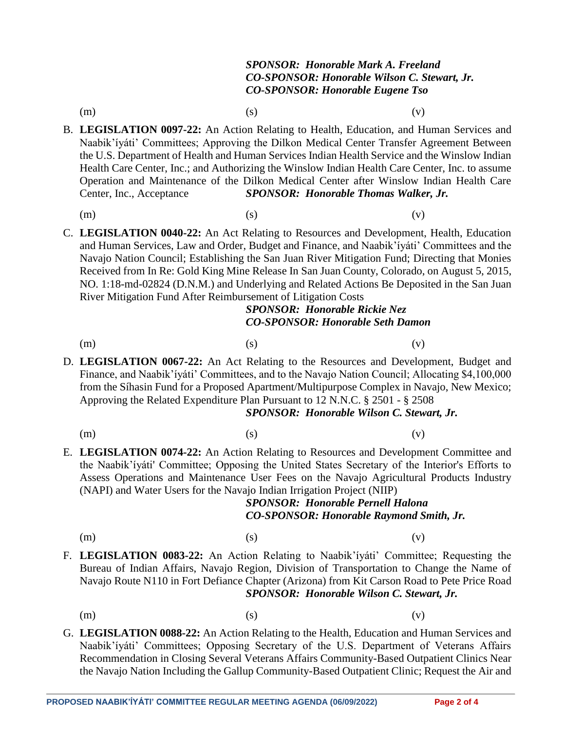### *SPONSOR: Honorable Mark A. Freeland CO-SPONSOR: Honorable Wilson C. Stewart, Jr. CO-SPONSOR: Honorable Eugene Tso*

(m)  $(s)$  (c)

- B. **LEGISLATION 0097-22:** An Action Relating to Health, Education, and Human Services and Naabik'íyáti' Committees; Approving the Dilkon Medical Center Transfer Agreement Between the U.S. Department of Health and Human Services Indian Health Service and the Winslow Indian Health Care Center, Inc.; and Authorizing the Winslow Indian Health Care Center, Inc. to assume Operation and Maintenance of the Dilkon Medical Center after Winslow Indian Health Care Center, Inc., Acceptance *SPONSOR: Honorable Thomas Walker, Jr.*
	-

(m)  $(s)$  (c)

C. **LEGISLATION 0040-22:** An Act Relating to Resources and Development, Health, Education and Human Services, Law and Order, Budget and Finance, and Naabik'íyáti' Committees and the Navajo Nation Council; Establishing the San Juan River Mitigation Fund; Directing that Monies Received from In Re: Gold King Mine Release In San Juan County, Colorado, on August 5, 2015, NO. 1:18-md-02824 (D.N.M.) and Underlying and Related Actions Be Deposited in the San Juan River Mitigation Fund After Reimbursement of Litigation Costs

# *SPONSOR: Honorable Rickie Nez CO-SPONSOR: Honorable Seth Damon*

(m)  $(s)$  (c)

D. **LEGISLATION 0067-22:** An Act Relating to the Resources and Development, Budget and Finance, and Naabik'íyáti' Committees, and to the Navajo Nation Council; Allocating \$4,100,000 from the Síhasin Fund for a Proposed Apartment/Multipurpose Complex in Navajo, New Mexico; Approving the Related Expenditure Plan Pursuant to 12 N.N.C. § 2501 - § 2508

### *SPONSOR: Honorable Wilson C. Stewart, Jr.*

- 
- (m)  $(s)$  (c)
- E. **LEGISLATION 0074-22:** An Action Relating to Resources and Development Committee and the Naabik'íyáti' Committee; Opposing the United States Secretary of the Interior's Efforts to Assess Operations and Maintenance User Fees on the Navajo Agricultural Products Industry (NAPI) and Water Users for the Navajo Indian Irrigation Project (NIIP)

# *SPONSOR: Honorable Pernell Halona CO-SPONSOR: Honorable Raymond Smith, Jr.*

(m)  $(s)$  (c)

- F. **LEGISLATION 0083-22:** An Action Relating to Naabik'íyáti' Committee; Requesting the Bureau of Indian Affairs, Navajo Region, Division of Transportation to Change the Name of Navajo Route N110 in Fort Defiance Chapter (Arizona) from Kit Carson Road to Pete Price Road *SPONSOR: Honorable Wilson C. Stewart, Jr.*
	-

(m)  $(s)$  (c)

G. **LEGISLATION 0088-22:** An Action Relating to the Health, Education and Human Services and Naabik'íyáti' Committees; Opposing Secretary of the U.S. Department of Veterans Affairs Recommendation in Closing Several Veterans Affairs Community-Based Outpatient Clinics Near the Navajo Nation Including the Gallup Community-Based Outpatient Clinic; Request the Air and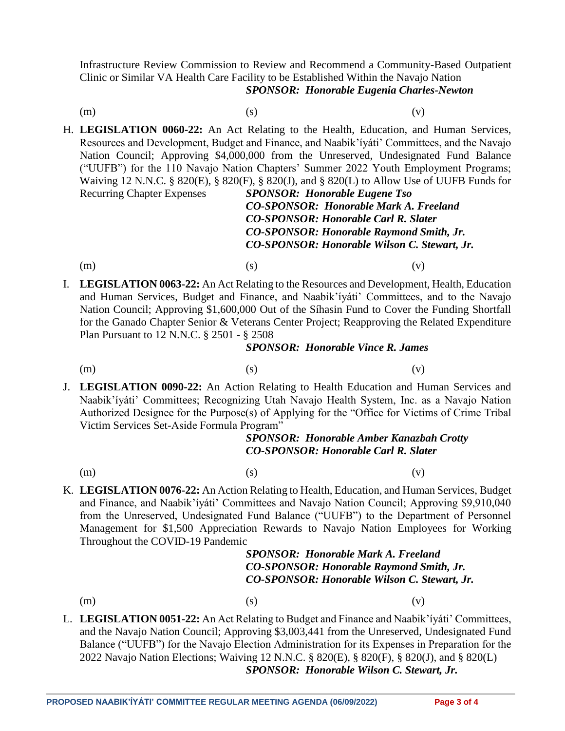### Infrastructure Review Commission to Review and Recommend a Community-Based Outpatient Clinic or Similar VA Health Care Facility to be Established Within the Navajo Nation

### *SPONSOR: Honorable Eugenia Charles-Newton*

(m)  $(s)$  (c)

H. **LEGISLATION 0060-22:** An Act Relating to the Health, Education, and Human Services, Resources and Development, Budget and Finance, and Naabik'íyáti' Committees, and the Navajo Nation Council; Approving \$4,000,000 from the Unreserved, Undesignated Fund Balance ("UUFB") for the 110 Navajo Nation Chapters' Summer 2022 Youth Employment Programs; Waiving 12 N.N.C. § 820(E), § 820(F), § 820(J), and § 820(L) to Allow Use of UUFB Funds for Recurring Chapter Expenses *SPONSOR: Honorable Eugene Tso CO-SPONSOR: Honorable Mark A. Freeland*

> *CO-SPONSOR: Honorable Carl R. Slater CO-SPONSOR: Honorable Raymond Smith, Jr.*

> > *CO-SPONSOR: Honorable Wilson C. Stewart, Jr.*

(m)  $(s)$  (c)

I. **LEGISLATION 0063-22:** An Act Relating to the Resources and Development, Health, Education and Human Services, Budget and Finance, and Naabik'íyáti' Committees, and to the Navajo Nation Council; Approving \$1,600,000 Out of the Síhasin Fund to Cover the Funding Shortfall for the Ganado Chapter Senior & Veterans Center Project; Reapproving the Related Expenditure Plan Pursuant to 12 N.N.C. § 2501 - § 2508

#### *SPONSOR: Honorable Vince R. James*

(m)  $(s)$  (c)

J. **LEGISLATION 0090-22:** An Action Relating to Health Education and Human Services and Naabik'íyáti' Committees; Recognizing Utah Navajo Health System, Inc. as a Navajo Nation Authorized Designee for the Purpose(s) of Applying for the "Office for Victims of Crime Tribal Victim Services Set-Aside Formula Program"

## *SPONSOR: Honorable Amber Kanazbah Crotty CO-SPONSOR: Honorable Carl R. Slater*

- (m)  $(s)$  (c)
- K. **LEGISLATION 0076-22:** An Action Relating to Health, Education, and Human Services, Budget and Finance, and Naabik'íyáti' Committees and Navajo Nation Council; Approving \$9,910,040 from the Unreserved, Undesignated Fund Balance ("UUFB") to the Department of Personnel Management for \$1,500 Appreciation Rewards to Navajo Nation Employees for Working Throughout the COVID-19 Pandemic

*SPONSOR: Honorable Mark A. Freeland CO-SPONSOR: Honorable Raymond Smith, Jr. CO-SPONSOR: Honorable Wilson C. Stewart, Jr.*

(m)  $(s)$  (c)

L. **LEGISLATION 0051-22:** An Act Relating to Budget and Finance and Naabik'íyáti' Committees, and the Navajo Nation Council; Approving \$3,003,441 from the Unreserved, Undesignated Fund Balance ("UUFB") for the Navajo Election Administration for its Expenses in Preparation for the 2022 Navajo Nation Elections; Waiving 12 N.N.C. § 820(E), § 820(F), § 820(J), and § 820(L) *SPONSOR: Honorable Wilson C. Stewart, Jr.*